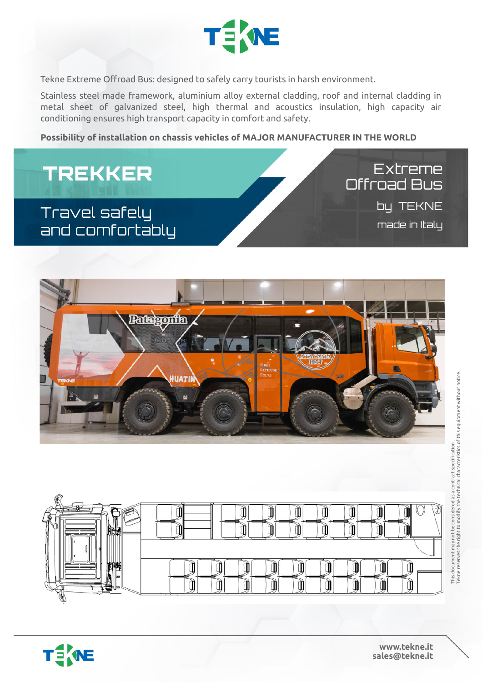

Tekne Extreme Offroad Bus: designed to safely carry tourists in harsh environment.

Stainless steel made framework, aluminium alloy external cladding, roof and internal cladding in metal sheet of galvanized steel, high thermal and acoustics insulation, high capacity air conditioning ensures high transport capacity in comfort and safety.

**Possibility of installation on chassis vehicles of MAJOR MANUFACTURER IN THE WORLD**

## TREKKER

Travel safely and comfortably







by TEKNE

Extreme

Offroad Bus

made in Italy